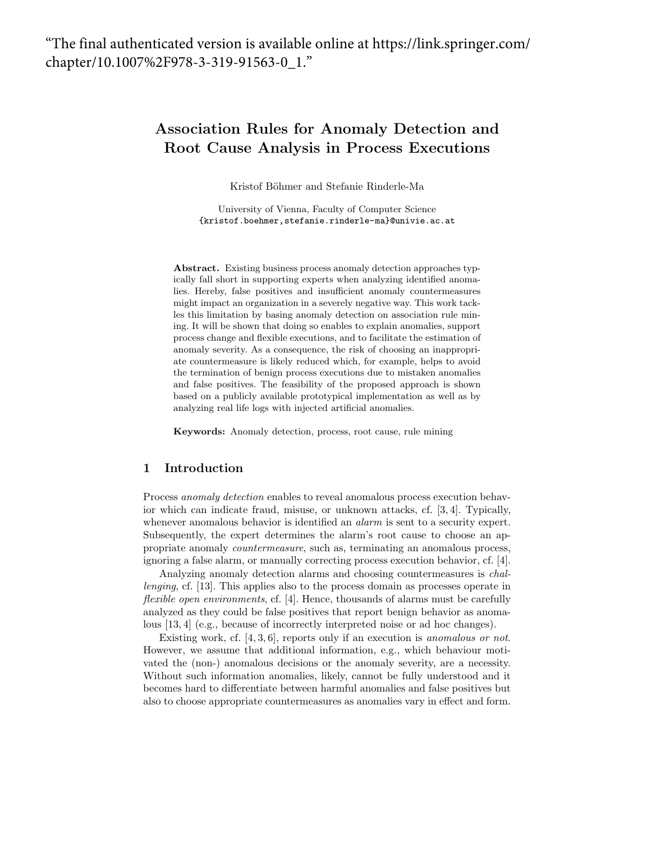# Association Rules for Anomaly Detection and Root Cause Analysis in Process Executions

Kristof Böhmer and Stefanie Rinderle-Ma

University of Vienna, Faculty of Computer Science {kristof.boehmer,stefanie.rinderle-ma}@univie.ac.at

Abstract. Existing business process anomaly detection approaches typically fall short in supporting experts when analyzing identified anomalies. Hereby, false positives and insufficient anomaly countermeasures might impact an organization in a severely negative way. This work tackles this limitation by basing anomaly detection on association rule mining. It will be shown that doing so enables to explain anomalies, support process change and flexible executions, and to facilitate the estimation of anomaly severity. As a consequence, the risk of choosing an inappropriate countermeasure is likely reduced which, for example, helps to avoid the termination of benign process executions due to mistaken anomalies and false positives. The feasibility of the proposed approach is shown based on a publicly available prototypical implementation as well as by analyzing real life logs with injected artificial anomalies.

Keywords: Anomaly detection, process, root cause, rule mining

## 1 Introduction

Process anomaly detection enables to reveal anomalous process execution behavior which can indicate fraud, misuse, or unknown attacks, cf. [3, 4]. Typically, whenever anomalous behavior is identified an *alarm* is sent to a security expert. Subsequently, the expert determines the alarm's root cause to choose an appropriate anomaly countermeasure, such as, terminating an anomalous process, ignoring a false alarm, or manually correcting process execution behavior, cf. [4].

Analyzing anomaly detection alarms and choosing countermeasures is challenging, cf. [13]. This applies also to the process domain as processes operate in flexible open environments, cf. [4]. Hence, thousands of alarms must be carefully analyzed as they could be false positives that report benign behavior as anomalous [13, 4] (e.g., because of incorrectly interpreted noise or ad hoc changes).

Existing work, cf. [4, 3, 6], reports only if an execution is anomalous or not. However, we assume that additional information, e.g., which behaviour motivated the (non-) anomalous decisions or the anomaly severity, are a necessity. Without such information anomalies, likely, cannot be fully understood and it becomes hard to differentiate between harmful anomalies and false positives but also to choose appropriate countermeasures as anomalies vary in effect and form.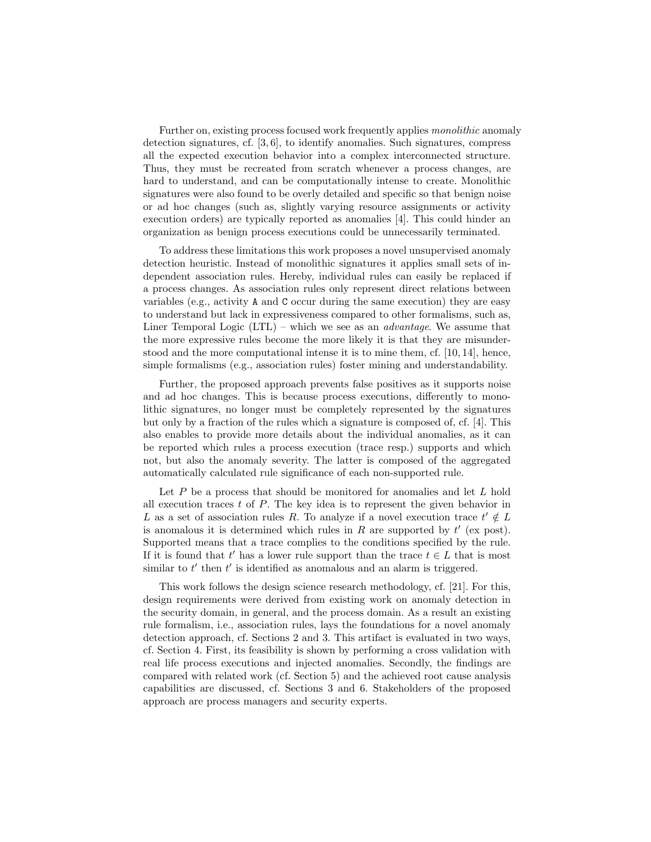Further on, existing process focused work frequently applies monolithic anomaly detection signatures, cf. [3, 6], to identify anomalies. Such signatures, compress all the expected execution behavior into a complex interconnected structure. Thus, they must be recreated from scratch whenever a process changes, are hard to understand, and can be computationally intense to create. Monolithic signatures were also found to be overly detailed and specific so that benign noise or ad hoc changes (such as, slightly varying resource assignments or activity execution orders) are typically reported as anomalies [4]. This could hinder an organization as benign process executions could be unnecessarily terminated.

To address these limitations this work proposes a novel unsupervised anomaly detection heuristic. Instead of monolithic signatures it applies small sets of independent association rules. Hereby, individual rules can easily be replaced if a process changes. As association rules only represent direct relations between variables (e.g., activity A and C occur during the same execution) they are easy to understand but lack in expressiveness compared to other formalisms, such as, Liner Temporal Logic  $(LTL)$  – which we see as an *advantage*. We assume that the more expressive rules become the more likely it is that they are misunderstood and the more computational intense it is to mine them, cf. [10, 14], hence, simple formalisms (e.g., association rules) foster mining and understandability.

Further, the proposed approach prevents false positives as it supports noise and ad hoc changes. This is because process executions, differently to monolithic signatures, no longer must be completely represented by the signatures but only by a fraction of the rules which a signature is composed of, cf. [4]. This also enables to provide more details about the individual anomalies, as it can be reported which rules a process execution (trace resp.) supports and which not, but also the anomaly severity. The latter is composed of the aggregated automatically calculated rule significance of each non-supported rule.

Let  $P$  be a process that should be monitored for anomalies and let  $L$  hold all execution traces  $t$  of  $P$ . The key idea is to represent the given behavior in L as a set of association rules R. To analyze if a novel execution trace  $t' \notin L$ is anomalous it is determined which rules in  $R$  are supported by  $t'$  (ex post). Supported means that a trace complies to the conditions specified by the rule. If it is found that t' has a lower rule support than the trace  $t \in L$  that is most similar to  $t'$  then  $t'$  is identified as anomalous and an alarm is triggered.

This work follows the design science research methodology, cf. [21]. For this, design requirements were derived from existing work on anomaly detection in the security domain, in general, and the process domain. As a result an existing rule formalism, i.e., association rules, lays the foundations for a novel anomaly detection approach, cf. Sections 2 and 3. This artifact is evaluated in two ways, cf. Section 4. First, its feasibility is shown by performing a cross validation with real life process executions and injected anomalies. Secondly, the findings are compared with related work (cf. Section 5) and the achieved root cause analysis capabilities are discussed, cf. Sections 3 and 6. Stakeholders of the proposed approach are process managers and security experts.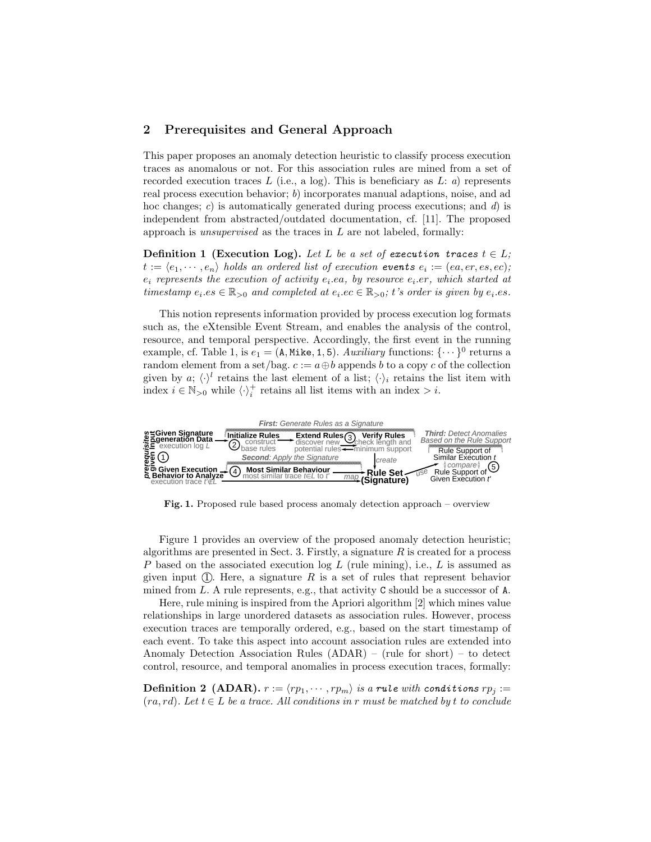## 2 Prerequisites and General Approach

This paper proposes an anomaly detection heuristic to classify process execution traces as anomalous or not. For this association rules are mined from a set of recorded execution traces  $L$  (i.e., a log). This is beneficiary as  $L: a$ ) represents real process execution behavior; b) incorporates manual adaptions, noise, and ad hoc changes; c) is automatically generated during process executions; and  $d$ ) is independent from abstracted/outdated documentation, cf. [11]. The proposed approach is *unsupervised* as the traces in  $L$  are not labeled, formally:

**Definition 1 (Execution Log).** Let L be a set of execution traces  $t \in L$ ;  $t := \langle e_1, \cdots, e_n \rangle$  holds an ordered list of execution events  $e_i := (ea, er, es, ec);$  $e_i$  represents the execution of activity  $e_i.ea$ , by resource  $e_i.er$ , which started at timestamp  $e_i$ .es  $\in \mathbb{R}_{>0}$  and completed at  $e_i$ .ec  $\in \mathbb{R}_{>0}$ ; t's order is given by  $e_i$ .es.

This notion represents information provided by process execution log formats such as, the eXtensible Event Stream, and enables the analysis of the control, resource, and temporal perspective. Accordingly, the first event in the running example, cf. Table 1, is  $e_1 = (\texttt{A}, \texttt{Mike}, 1, 5)$ . Auxiliary functions:  $\{\cdots\}^0$  returns a random element from a set/bag.  $c := a \oplus b$  appends b to a copy c of the collection given by a;  $\langle \cdot \rangle^l$  retains the last element of a list;  $\langle \cdot \rangle_i$  retains the list item with index  $i \in \mathbb{N}_{>0}$  while  $\langle \cdot \rangle_i^+$  retains all list items with an index  $> i$ .



Fig. 1. Proposed rule based process anomaly detection approach – overview

Figure 1 provides an overview of the proposed anomaly detection heuristic; algorithms are presented in Sect. 3. Firstly, a signature  $R$  is created for a process  $P$  based on the associated execution log  $L$  (rule mining), i.e.,  $L$  is assumed as given input  $(1)$ . Here, a signature R is a set of rules that represent behavior mined from L. A rule represents, e.g., that activity C should be a successor of A.

Here, rule mining is inspired from the Apriori algorithm [2] which mines value relationships in large unordered datasets as association rules. However, process execution traces are temporally ordered, e.g., based on the start timestamp of each event. To take this aspect into account association rules are extended into Anomaly Detection Association Rules (ADAR) – (rule for short) – to detect control, resource, and temporal anomalies in process execution traces, formally:

**Definition 2 (ADAR).**  $r := \langle rp_1, \cdots, rp_m \rangle$  is a rule with conditions  $rp_j :=$  $-ra, rd)$ . Let  $t \in L$  be a trace. All conditions in r must be matched by t to conclude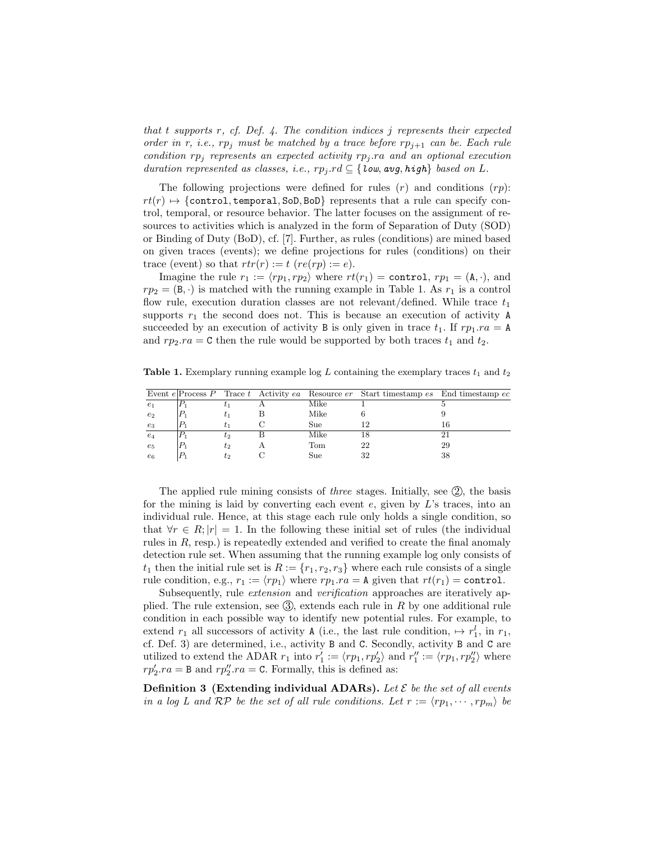that t supports r, cf. Def. 4. The condition indices j represents their expected order in r, i.e., rp<sub>j</sub> must be matched by a trace before  $rp_{j+1}$  can be. Each rule condition  $rp_j$  represents an expected activity  $rp_j$  ra and an optional execution duration represented as classes, i.e.,  $rp_j$   $rd \subseteq \{low, avg, high\}$  based on L.

The following projections were defined for rules  $(r)$  and conditions  $(rp)$ :  $rt(r) \mapsto \{\text{control}, \text{temporal}, \text{Sol}, \text{Bob}\}\$  represents that a rule can specify control, temporal, or resource behavior. The latter focuses on the assignment of resources to activities which is analyzed in the form of Separation of Duty (SOD) or Binding of Duty (BoD), cf. [7]. Further, as rules (conditions) are mined based on given traces (events); we define projections for rules (conditions) on their trace (event) so that  $rtr(r) := t$  ( $re(rp) := e$ ).

Imagine the rule  $r_1 := \langle rp_1, rp_2 \rangle$  where  $rt(r_1) = \text{control}, rp_1 = (A, \cdot),$  and  $rp_2 = (B, \cdot)$  is matched with the running example in Table 1. As  $r_1$  is a control flow rule, execution duration classes are not relevant/defined. While trace  $t_1$ supports  $r_1$  the second does not. This is because an execution of activity A succeeded by an execution of activity **B** is only given in trace  $t_1$ . If  $rp_1, ra = \mathbf{A}$ and  $rp_2.ra = C$  then the rule would be supported by both traces  $t_1$  and  $t_2$ .

**Table 1.** Exemplary running example log L containing the exemplary traces  $t_1$  and  $t_2$ 

|                |    |      | Event e Process P Trace t Activity ea Resource er Start timestamp es End timestamp ec |    |
|----------------|----|------|---------------------------------------------------------------------------------------|----|
| e <sub>1</sub> |    | Mike |                                                                                       |    |
| e <sub>2</sub> |    | Mike |                                                                                       |    |
| $e_3$          |    | Sue  |                                                                                       |    |
| $e_4$          | t2 | Mike |                                                                                       |    |
| $e_5$          | tэ | Tom  | 22                                                                                    | 29 |
| e <sub>6</sub> | t2 | Sue  |                                                                                       | 38 |
|                |    |      |                                                                                       |    |

The applied rule mining consists of *three* stages. Initially, see  $(2)$ , the basis for the mining is laid by converting each event  $e$ , given by  $L$ 's traces, into an individual rule. Hence, at this stage each rule only holds a single condition, so that  $\forall r \in R; |r| = 1$ . In the following these initial set of rules (the individual rules in  $R$ , resp.) is repeatedly extended and verified to create the final anomaly detection rule set. When assuming that the running example log only consists of  $t_1$  then the initial rule set is  $R := \{r_1, r_2, r_3\}$  where each rule consists of a single rule condition, e.g.,  $r_1 := \langle rp_1 \rangle$  where  $rp_1 \cdot ra = A$  given that  $rt(r_1) = \text{control}$ .

Subsequently, rule *extension* and *verification* approaches are iteratively applied. The rule extension, see  $(3)$ , extends each rule in R by one additional rule condition in each possible way to identify new potential rules. For example, to extend  $r_1$  all successors of activity **A** (i.e., the last rule condition,  $\mapsto r_1^l$ , in  $r_1$ , cf. Def. 3) are determined, i.e., activity B and C. Secondly, activity B and C are utilized to extend the ADAR  $r_1$  into  $r'_1 := \langle rp_1, rp'_2 \rangle$  and  $r''_1 := \langle rp_1, rp''_2 \rangle$  where  $rp'_2.ra = B$  and  $rp''_2.ra = C$ . Formally, this is defined as:

**Definition 3 (Extending individual ADARs).** Let  $\mathcal{E}$  be the set of all events in a log L and RP be the set of all rule conditions. Let  $r := \langle rp_1, \dots, rp_m \rangle$  be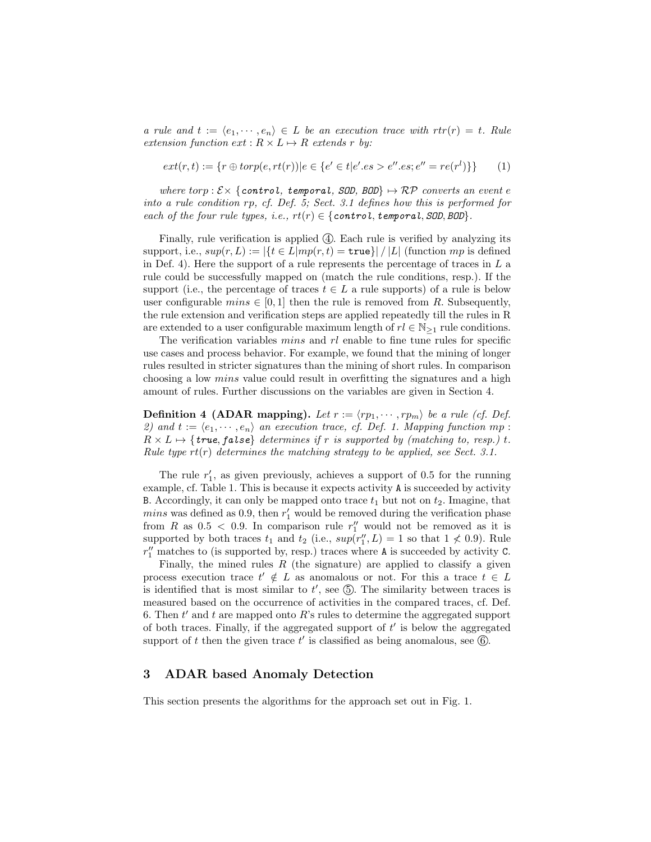a rule and  $t := \langle e_1, \dots, e_n \rangle \in L$  be an execution trace with  $rtr(r) = t$ . Rule extension function ext :  $R \times L \mapsto R$  extends r by:

$$
ext(r, t) := \{ r \oplus torp(e, rt(r)) | e \in \{ e' \in t | e'.es > e''.es; e'' = re(r^l) \} \}
$$
(1)

where torp :  $\mathcal{E} \times \{$  control, temporal, SOD, BOD}  $\mapsto \mathcal{RP}$  converts an event e into a rule condition rp, cf. Def. 5; Sect. 3.1 defines how this is performed for each of the four rule types, i.e.,  $rt(r) \in \{control, temporal, SOD, BOD\}.$ 

Finally, rule verification is applied  $(4)$ . Each rule is verified by analyzing its support, i.e.,  $sup(r, L) := |\{t \in L | mp(r, t) = \text{true}\}| / |L|$  (function mp is defined in Def. 4). Here the support of a rule represents the percentage of traces in  $L$  a rule could be successfully mapped on (match the rule conditions, resp.). If the support (i.e., the percentage of traces  $t \in L$  a rule supports) of a rule is below user configurable mins  $\in [0,1]$  then the rule is removed from R. Subsequently, the rule extension and verification steps are applied repeatedly till the rules in R are extended to a user configurable maximum length of  $rl \in \mathbb{N}_{\geq 1}$  rule conditions.

The verification variables *mins* and  $rl$  enable to fine tune rules for specific use cases and process behavior. For example, we found that the mining of longer rules resulted in stricter signatures than the mining of short rules. In comparison choosing a low mins value could result in overfitting the signatures and a high amount of rules. Further discussions on the variables are given in Section 4.

**Definition 4 (ADAR mapping).** Let  $r := \langle rp_1, \dots, rp_m \rangle$  be a rule (cf. Def. 2) and  $t := \langle e_1, \dots, e_n \rangle$  an execution trace, cf. Def. 1. Mapping function mp :  $R \times L \mapsto \{ \text{true}, \text{false} \}$  determines if r is supported by (matching to, resp.) t. Rule type  $rt(r)$  determines the matching strategy to be applied, see Sect. 3.1.

The rule  $r'_1$ , as given previously, achieves a support of 0.5 for the running example, cf. Table 1. This is because it expects activity A is succeeded by activity B. Accordingly, it can only be mapped onto trace  $t_1$  but not on  $t_2$ . Imagine, that  $mins$  was defined as 0.9, then  $r'_1$  would be removed during the verification phase from R as  $0.5 < 0.9$ . In comparison rule  $r_1''$  would not be removed as it is supported by both traces  $t_1$  and  $t_2$  (i.e.,  $sup(r''_1, L) = 1$  so that  $1 \nless 0.9$ ). Rule  $r''_1$  matches to (is supported by, resp.) traces where A is succeeded by activity C.

Finally, the mined rules  $R$  (the signature) are applied to classify a given process execution trace  $t' \notin L$  as anomalous or not. For this a trace  $t \in L$ is identified that is most similar to  $t'$ , see  $\circledS$ . The similarity between traces is measured based on the occurrence of activities in the compared traces, cf. Def. 6. Then  $t'$  and  $t$  are mapped onto  $R$ 's rules to determine the aggregated support of both traces. Finally, if the aggregated support of  $t'$  is below the aggregated support of t then the given trace  $t'$  is classified as being anomalous, see  $\circled{6}$ .

## 3 ADAR based Anomaly Detection

This section presents the algorithms for the approach set out in Fig. 1.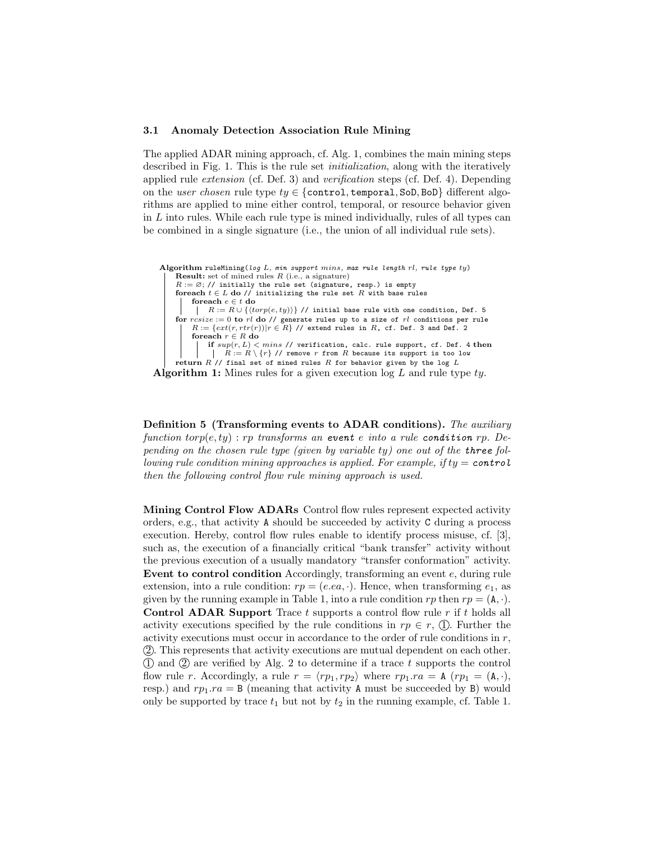#### 3.1 Anomaly Detection Association Rule Mining

The applied ADAR mining approach, cf. Alg. 1, combines the main mining steps described in Fig. 1. This is the rule set initialization, along with the iteratively applied rule extension (cf. Def. 3) and verification steps (cf. Def. 4). Depending on the user chosen rule type  $ty \in \{\text{control}, \text{temporal}, \text{Sol}, \text{BoD}\}\$ different algorithms are applied to mine either control, temporal, or resource behavior given in  $L$  into rules. While each rule type is mined individually, rules of all types can be combined in a single signature (i.e., the union of all individual rule sets).

```
Algorithm ruleMining(log L, min support mins, max rule length rl, rule type ty)
Result: set of mined rules R (i.e., a signature)
R := \varnothing; // initially the rule set (signature, resp.) is empty
foreach t \in L do // initializing the rule set R with base rules
     foreach e \in t do
     R := R \cup \{ \langle \text{torp}(e, ty) \rangle \} // initial base rule with one condition, Def. 5
for resize := 0 to rl do // generate rules up to a size of rl conditions per rule
     R := \{ext(r, rtr(r)) | r \in R \} // extend rules in R, cf. Def. 3 and Def. 2
     foreach r \in R do
```
if  $sup(r, L) < mins$  // verification, calc. rule support, cf. Def. 4 then  $R := R \setminus \{r\}$  // remove r from R because its support is too low return  $R$  // final set of mined rules  $R$  for behavior given by the log  $L$ 

**Algorithm 1:** Mines rules for a given execution  $\log L$  and rule type ty.

Definition 5 (Transforming events to ADAR conditions). The auxiliary function torp $(e, ty)$ : rp transforms an event e into a rule condition rp. Depending on the chosen rule type (given by variable ty) one out of the three following rule condition mining approaches is applied. For example, if  $ty = \text{control}$ then the following control flow rule mining approach is used.

Mining Control Flow ADARs Control flow rules represent expected activity orders, e.g., that activity A should be succeeded by activity C during a process execution. Hereby, control flow rules enable to identify process misuse, cf. [3], such as, the execution of a financially critical "bank transfer" activity without the previous execution of a usually mandatory "transfer conformation" activity. Event to control condition Accordingly, transforming an event e, during rule extension, into a rule condition:  $rp = (e.ea, \cdot)$ . Hence, when transforming  $e_1$ , as given by the running example in Table 1, into a rule condition  $rp$  then  $rp = (A, \cdot)$ . **Control ADAR Support** Trace  $t$  supports a control flow rule  $r$  if  $t$  holds all activity executions specified by the rule conditions in  $rp \in r$ , 1. Further the activity executions must occur in accordance to the order of rule conditions in  $r$ , 2 . This represents that activity executions are mutual dependent on each other.  $(1)$  and  $(2)$  are verified by Alg. 2 to determine if a trace t supports the control flow rule r. Accordingly, a rule  $r = \langle rp_1, rp_2 \rangle$  where  $rp_1 \cdot ra = A$   $(rp_1 = (A, \cdot),$ resp.) and  $rp_1-ra = B$  (meaning that activity A must be succeeded by B) would only be supported by trace  $t_1$  but not by  $t_2$  in the running example, cf. Table 1.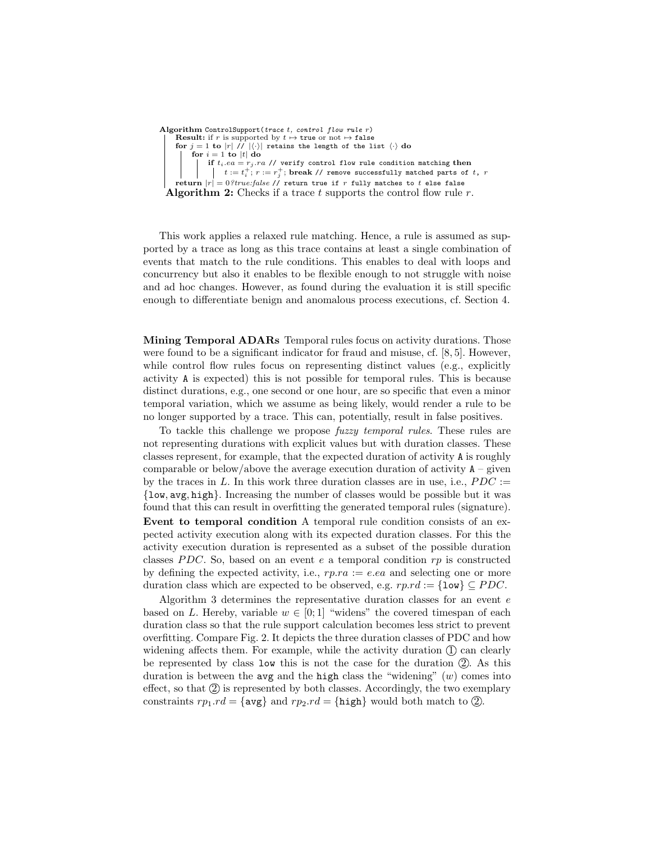Algorithm ControlSupport(trace t, control flow rule r) **Result:** if r is supported by  $t \mapsto$  true or not  $\mapsto$  false for  $j = 1$  to  $|r|$  //  $|\langle \cdot \rangle|$  retains the length of the list  $\langle \cdot \rangle$  do for  $i = 1$  to  $|t|$  do if  $t_i.ea = r_j.ra$  // verify control flow rule condition matching then  $t:=t_i^{\pm};\, r:=r_j^{\pm};$  <code>break</code> // <code>remove</code> successfully matched parts of  $t$ ,  $r$ return  $|r| = 0$ ?true:false // return true if r fully matches to t else false **Algorithm 2:** Checks if a trace t supports the control flow rule  $r$ .

This work applies a relaxed rule matching. Hence, a rule is assumed as supported by a trace as long as this trace contains at least a single combination of events that match to the rule conditions. This enables to deal with loops and concurrency but also it enables to be flexible enough to not struggle with noise and ad hoc changes. However, as found during the evaluation it is still specific enough to differentiate benign and anomalous process executions, cf. Section 4.

Mining Temporal ADARs Temporal rules focus on activity durations. Those were found to be a significant indicator for fraud and misuse, cf. [8, 5]. However, while control flow rules focus on representing distinct values (e.g., explicitly activity A is expected) this is not possible for temporal rules. This is because distinct durations, e.g., one second or one hour, are so specific that even a minor temporal variation, which we assume as being likely, would render a rule to be no longer supported by a trace. This can, potentially, result in false positives.

To tackle this challenge we propose fuzzy temporal rules. These rules are not representing durations with explicit values but with duration classes. These classes represent, for example, that the expected duration of activity A is roughly comparable or below/above the average execution duration of activity  $A -$  given by the traces in L. In this work three duration classes are in use, i.e.,  $PDC :=$ {low, avg, high}. Increasing the number of classes would be possible but it was found that this can result in overfitting the generated temporal rules (signature). Event to temporal condition A temporal rule condition consists of an expected activity execution along with its expected duration classes. For this the activity execution duration is represented as a subset of the possible duration classes PDC. So, based on an event  $e$  a temporal condition  $rp$  is constructed by defining the expected activity, i.e.,  $rp-ra := e.ea$  and selecting one or more duration class which are expected to be observed, e.g.  $rp.rd := \{low\} \subseteq PDC$ .

Algorithm 3 determines the representative duration classes for an event e based on L. Hereby, variable  $w \in [0, 1]$  "widens" the covered timespan of each duration class so that the rule support calculation becomes less strict to prevent overfitting. Compare Fig. 2. It depicts the three duration classes of PDC and how widening affects them. For example, while the activity duration  $(1)$  can clearly be represented by class low this is not the case for the duration  $(2)$ . As this duration is between the  $\arg \text{ and the high class the "widening" (w) comes into}$ effect, so that  $\mathcal{D}$  is represented by both classes. Accordingly, the two exemplary constraints  $rp_1.rd = \{avg\}$  and  $rp_2.rd = \{high\}$  would both match to  $\hat{Q}$ .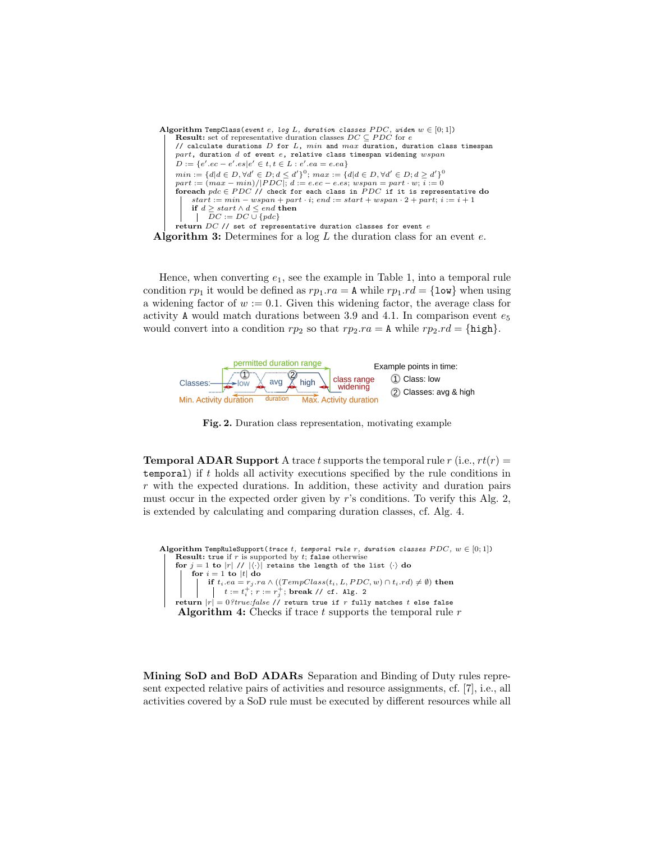```
Algorithm TempClass(event e, log L, duration classes PDC, widen w \in [0; 1])<br>| Result: set of representative duration classes DC \subseteq PDC for e
// calculate durations D for L, min and max duration, duration class timespan
part, duration d of event e, relative class timespan widening wspanD := \{e', ec - e', es | e' \in t, t \in L : e', ea = e, ea\}min := \{d | d \in D, \forall d' \in D; d \leq d'\}^0; max := \{d | d \in D, \forall d' \in D; d \geq d'\}^0part := (max - min)/|PDC|; d := e.ec - e.es; wspan = part \cdot w; i := 0foreach pdc \in PDC'/ check for each class in PDC if it is representative do
     start := min - wspan + part \cdot i; \, end := start + wspan \cdot 2 + part; \, i := i + 1if d ≥ start ∧ d ≤ end then
     \overline{DC} := DC \cup \{pdc\}return DC // set of representative duration classes for event e
```
**Algorithm 3:** Determines for a log  $L$  the duration class for an event  $e$ .

Hence, when converting  $e_1$ , see the example in Table 1, into a temporal rule condition  $rp_1$  it would be defined as  $rp_1-ra = A$  while  $rp_1.rd = \{\text{low}\}\$  when using a widening factor of  $w := 0.1$ . Given this widening factor, the average class for activity A would match durations between 3.9 and 4.1. In comparison event  $e_5$ would convert into a condition  $rp_2$  so that  $rp_2.ra = A$  while  $rp_2.rd = \{high\}.$ 



Fig. 2. Duration class representation, motivating example

**Temporal ADAR Support** A trace t supports the temporal rule  $r$  (i.e.,  $rt(r)$ ) temporal) if  $t$  holds all activity executions specified by the rule conditions in r with the expected durations. In addition, these activity and duration pairs must occur in the expected order given by r's conditions. To verify this Alg. 2, is extended by calculating and comparing duration classes, cf. Alg. 4.

```
Algorithm TempRuleSupport(trace t, temporal rule r, duration classes PDC, w \in [0,1])
  Result: true if r is supported by t; false otherwise<br>for j = 1 to |r| // |\langle \cdot \rangle| retains the length of the list \langle \cdot \rangle do
       for i=1 to \left|t\right| do
            if t_i.ea = r_j.ra \wedge ((TempClass(t_i, L, PDC, w) \cap t_i.rd) \neq \emptyset) then
                   t:=t^+_i;\ r:=r^+_j;\ {\rm break\ \ } // \ \ {\rm cf.} \ \ {\rm Alg.} \ \ 2return |r| = 0?true:false // return true if r fully matches t else false
  Algorithm 4: Checks if trace t supports the temporal rule r
```
Mining SoD and BoD ADARs Separation and Binding of Duty rules represent expected relative pairs of activities and resource assignments, cf. [7], i.e., all activities covered by a SoD rule must be executed by different resources while all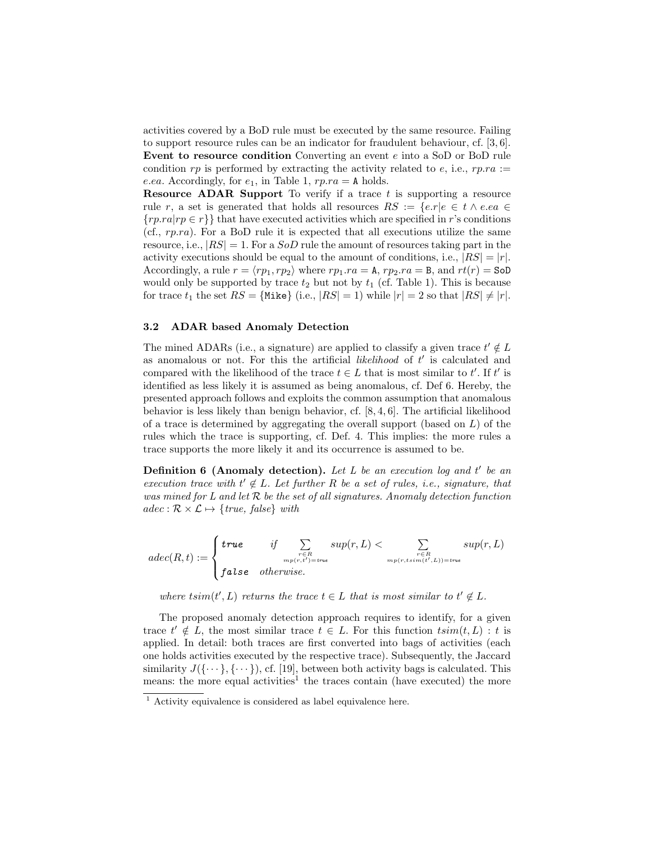activities covered by a BoD rule must be executed by the same resource. Failing to support resource rules can be an indicator for fraudulent behaviour, cf. [3, 6]. Event to resource condition Converting an event e into a SoD or BoD rule condition rp is performed by extracting the activity related to  $e$ , i.e.,  $rp-ra$ : *e.ea.* Accordingly, for  $e_1$ , in Table 1,  $rp-ra = A$  holds.

**Resource ADAR Support** To verify if a trace  $t$  is supporting a resource rule r, a set is generated that holds all resources  $RS := \{e,r | e \in t \land e.ea \in$  ${r^2r^2}$  that have executed activities which are specified in r's conditions (cf.,  $rp-ra$ ). For a BoD rule it is expected that all executions utilize the same resource, i.e.,  $|RS| = 1$ . For a  $SoD$  rule the amount of resources taking part in the activity executions should be equal to the amount of conditions, i.e.,  $|RS| = |r|$ . Accordingly, a rule  $r = \langle rp_1, rp_2 \rangle$  where  $rp_1, ra = \text{A}, rp_2, ra = \text{B}, \text{and } rt(r) = \text{Sol}$ would only be supported by trace  $t_2$  but not by  $t_1$  (cf. Table 1). This is because for trace  $t_1$  the set  $RS = \{$ Mike $\}$  (i.e.,  $|RS| = 1$ ) while  $|r| = 2$  so that  $|RS| \neq |r|$ .

### 3.2 ADAR based Anomaly Detection

The mined ADARs (i.e., a signature) are applied to classify a given trace  $t' \notin L$ as anomalous or not. For this the artificial *likelihood* of  $t'$  is calculated and compared with the likelihood of the trace  $t \in L$  that is most similar to t'. If t' is identified as less likely it is assumed as being anomalous, cf. Def 6. Hereby, the presented approach follows and exploits the common assumption that anomalous behavior is less likely than benign behavior, cf. [8, 4, 6]. The artificial likelihood of a trace is determined by aggregating the overall support (based on  $L$ ) of the rules which the trace is supporting, cf. Def. 4. This implies: the more rules a trace supports the more likely it and its occurrence is assumed to be.

Definition 6 (Anomaly detection). Let  $L$  be an execution log and  $t'$  be an execution trace with  $t' \notin L$ . Let further R be a set of rules, i.e., signature, that was mined for L and let  $\mathcal R$  be the set of all signatures. Anomaly detection function  $adec : \mathcal{R} \times \mathcal{L} \mapsto \{ true, false \}$  with

$$
adec(R, t) := \begin{cases} \text{true} & \text{if } \sum_{\substack{r \in R \\ mp(r, t') = true}} sup(r, L) < \sum_{\substack{r \in R \\ mp(r, t \sin(t', L)) = true}} sup(r, L) \\ \text{false} & \text{otherwise.} \end{cases}
$$

where  $t \operatorname{sim}(t', L)$  returns the trace  $t \in L$  that is most similar to  $t' \notin L$ .

The proposed anomaly detection approach requires to identify, for a given trace  $t' \notin L$ , the most similar trace  $t \in L$ . For this function  $t\sin(t, L) : t$  is applied. In detail: both traces are first converted into bags of activities (each one holds activities executed by the respective trace). Subsequently, the Jaccard similarity  $J(\{\cdots\}, {\{\cdots\}})$ , cf. [19], between both activity bags is calculated. This means: the more equal activities<sup>1</sup> the traces contain (have executed) the more

<sup>1</sup> Activity equivalence is considered as label equivalence here.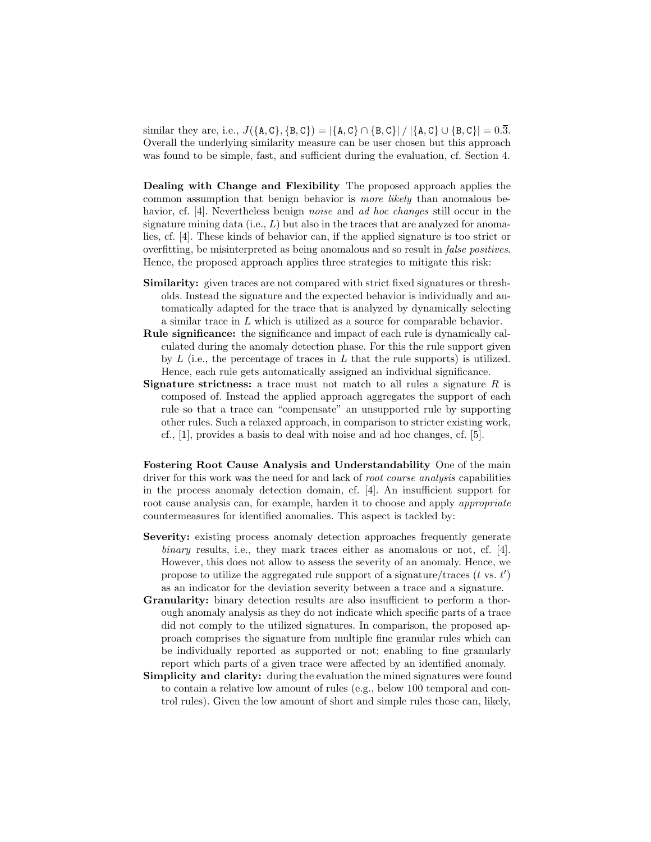similar they are, i.e.,  $J(\{A, C\}, \{B, C\}) = |\{A, C\} \cap \{B, C\}| / |\{A, C\} \cup \{B, C\}| = 0.\overline{3}.$ Overall the underlying similarity measure can be user chosen but this approach was found to be simple, fast, and sufficient during the evaluation, cf. Section 4.

Dealing with Change and Flexibility The proposed approach applies the common assumption that benign behavior is more likely than anomalous behavior, cf. [4]. Nevertheless benign *noise* and *ad hoc changes* still occur in the signature mining data (i.e.,  $L$ ) but also in the traces that are analyzed for anomalies, cf. [4]. These kinds of behavior can, if the applied signature is too strict or overfitting, be misinterpreted as being anomalous and so result in false positives. Hence, the proposed approach applies three strategies to mitigate this risk:

- Similarity: given traces are not compared with strict fixed signatures or thresholds. Instead the signature and the expected behavior is individually and automatically adapted for the trace that is analyzed by dynamically selecting a similar trace in L which is utilized as a source for comparable behavior.
- Rule significance: the significance and impact of each rule is dynamically calculated during the anomaly detection phase. For this the rule support given by L (i.e., the percentage of traces in L that the rule supports) is utilized. Hence, each rule gets automatically assigned an individual significance.
- **Signature strictness:** a trace must not match to all rules a signature  $R$  is composed of. Instead the applied approach aggregates the support of each rule so that a trace can "compensate" an unsupported rule by supporting other rules. Such a relaxed approach, in comparison to stricter existing work, cf., [1], provides a basis to deal with noise and ad hoc changes, cf. [5].

Fostering Root Cause Analysis and Understandability One of the main driver for this work was the need for and lack of *root course analysis* capabilities in the process anomaly detection domain, cf. [4]. An insufficient support for root cause analysis can, for example, harden it to choose and apply appropriate countermeasures for identified anomalies. This aspect is tackled by:

- Severity: existing process anomaly detection approaches frequently generate binary results, i.e., they mark traces either as anomalous or not, cf. [4]. However, this does not allow to assess the severity of an anomaly. Hence, we propose to utilize the aggregated rule support of a signature/traces  $(t \text{ vs. } t')$ as an indicator for the deviation severity between a trace and a signature.
- Granularity: binary detection results are also insufficient to perform a thorough anomaly analysis as they do not indicate which specific parts of a trace did not comply to the utilized signatures. In comparison, the proposed approach comprises the signature from multiple fine granular rules which can be individually reported as supported or not; enabling to fine granularly report which parts of a given trace were affected by an identified anomaly.
- Simplicity and clarity: during the evaluation the mined signatures were found to contain a relative low amount of rules (e.g., below 100 temporal and control rules). Given the low amount of short and simple rules those can, likely,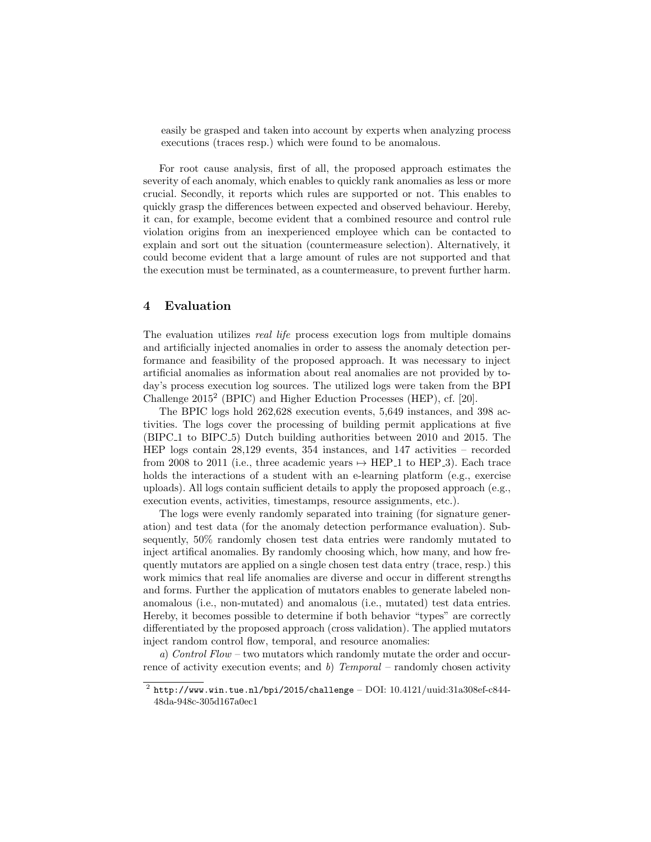easily be grasped and taken into account by experts when analyzing process executions (traces resp.) which were found to be anomalous.

For root cause analysis, first of all, the proposed approach estimates the severity of each anomaly, which enables to quickly rank anomalies as less or more crucial. Secondly, it reports which rules are supported or not. This enables to quickly grasp the differences between expected and observed behaviour. Hereby, it can, for example, become evident that a combined resource and control rule violation origins from an inexperienced employee which can be contacted to explain and sort out the situation (countermeasure selection). Alternatively, it could become evident that a large amount of rules are not supported and that the execution must be terminated, as a countermeasure, to prevent further harm.

## 4 Evaluation

The evaluation utilizes *real life* process execution logs from multiple domains and artificially injected anomalies in order to assess the anomaly detection performance and feasibility of the proposed approach. It was necessary to inject artificial anomalies as information about real anomalies are not provided by today's process execution log sources. The utilized logs were taken from the BPI Challenge 2015<sup>2</sup> (BPIC) and Higher Eduction Processes (HEP), cf. [20].

The BPIC logs hold 262,628 execution events, 5,649 instances, and 398 activities. The logs cover the processing of building permit applications at five (BIPC<sub>-1</sub> to BIPC<sub>-5</sub>) Dutch building authorities between 2010 and 2015. The HEP logs contain 28,129 events, 354 instances, and 147 activities – recorded from 2008 to 2011 (i.e., three academic years  $\rightarrow$  HEP 1 to HEP 3). Each trace holds the interactions of a student with an e-learning platform (e.g., exercise uploads). All logs contain sufficient details to apply the proposed approach (e.g., execution events, activities, timestamps, resource assignments, etc.).

The logs were evenly randomly separated into training (for signature generation) and test data (for the anomaly detection performance evaluation). Subsequently, 50% randomly chosen test data entries were randomly mutated to inject artifical anomalies. By randomly choosing which, how many, and how frequently mutators are applied on a single chosen test data entry (trace, resp.) this work mimics that real life anomalies are diverse and occur in different strengths and forms. Further the application of mutators enables to generate labeled nonanomalous (i.e., non-mutated) and anomalous (i.e., mutated) test data entries. Hereby, it becomes possible to determine if both behavior "types" are correctly differentiated by the proposed approach (cross validation). The applied mutators inject random control flow, temporal, and resource anomalies:

a) Control Flow – two mutators which randomly mutate the order and occurrence of activity execution events; and  $b$ ) Temporal – randomly chosen activity

 $^2$  http://www.win.tue.nl/bpi/2015/challenge – DOI: 10.4121/uuid:31a308ef-c844-48da-948c-305d167a0ec1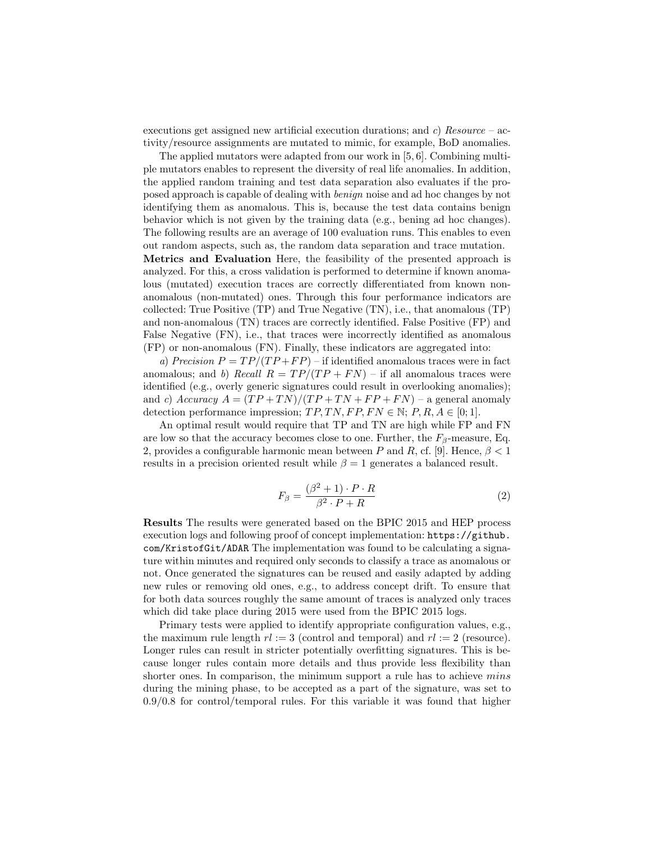executions get assigned new artificial execution durations; and c)  $Resource - ac$ tivity/resource assignments are mutated to mimic, for example, BoD anomalies.

The applied mutators were adapted from our work in [5, 6]. Combining multiple mutators enables to represent the diversity of real life anomalies. In addition, the applied random training and test data separation also evaluates if the proposed approach is capable of dealing with benign noise and ad hoc changes by not identifying them as anomalous. This is, because the test data contains benign behavior which is not given by the training data (e.g., bening ad hoc changes). The following results are an average of 100 evaluation runs. This enables to even out random aspects, such as, the random data separation and trace mutation.

Metrics and Evaluation Here, the feasibility of the presented approach is analyzed. For this, a cross validation is performed to determine if known anomalous (mutated) execution traces are correctly differentiated from known nonanomalous (non-mutated) ones. Through this four performance indicators are collected: True Positive (TP) and True Negative (TN), i.e., that anomalous (TP) and non-anomalous (TN) traces are correctly identified. False Positive (FP) and False Negative (FN), i.e., that traces were incorrectly identified as anomalous (FP) or non-anomalous (FN). Finally, these indicators are aggregated into:

a) Precision  $P = TP/(TP + FP)$  – if identified anomalous traces were in fact anomalous; and b) Recall  $R = TP/(TP + FN)$  – if all anomalous traces were identified (e.g., overly generic signatures could result in overlooking anomalies); and c)  $Accuracy A = (TP + TN)/(TP + TN + FP + FN)$  – a general anomaly detection performance impression;  $TP, TN, FP, FN \in \mathbb{N}; P, R, A \in [0, 1].$ 

An optimal result would require that TP and TN are high while FP and FN are low so that the accuracy becomes close to one. Further, the  $F_\beta$ -measure, Eq. 2, provides a configurable harmonic mean between P and R, cf. [9]. Hence,  $\beta < 1$ results in a precision oriented result while  $\beta = 1$  generates a balanced result.

$$
F_{\beta} = \frac{(\beta^2 + 1) \cdot P \cdot R}{\beta^2 \cdot P + R} \tag{2}
$$

Results The results were generated based on the BPIC 2015 and HEP process execution logs and following proof of concept implementation: https://github. com/KristofGit/ADAR The implementation was found to be calculating a signature within minutes and required only seconds to classify a trace as anomalous or not. Once generated the signatures can be reused and easily adapted by adding new rules or removing old ones, e.g., to address concept drift. To ensure that for both data sources roughly the same amount of traces is analyzed only traces which did take place during 2015 were used from the BPIC 2015 logs.

Primary tests were applied to identify appropriate configuration values, e.g., the maximum rule length  $rl := 3$  (control and temporal) and  $rl := 2$  (resource). Longer rules can result in stricter potentially overfitting signatures. This is because longer rules contain more details and thus provide less flexibility than shorter ones. In comparison, the minimum support a rule has to achieve *mins* during the mining phase, to be accepted as a part of the signature, was set to 0.9/0.8 for control/temporal rules. For this variable it was found that higher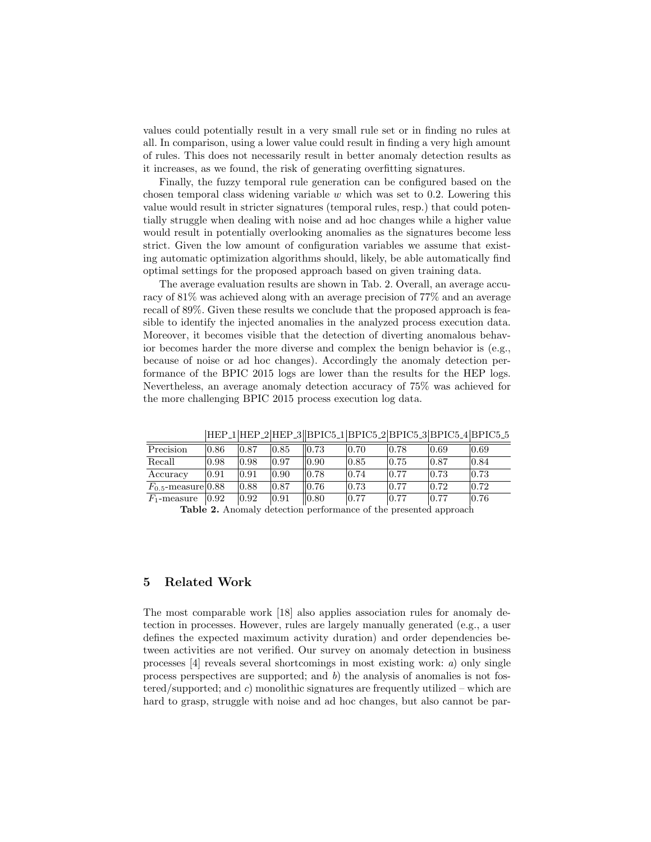values could potentially result in a very small rule set or in finding no rules at all. In comparison, using a lower value could result in finding a very high amount of rules. This does not necessarily result in better anomaly detection results as it increases, as we found, the risk of generating overfitting signatures.

Finally, the fuzzy temporal rule generation can be configured based on the chosen temporal class widening variable  $w$  which was set to 0.2. Lowering this value would result in stricter signatures (temporal rules, resp.) that could potentially struggle when dealing with noise and ad hoc changes while a higher value would result in potentially overlooking anomalies as the signatures become less strict. Given the low amount of configuration variables we assume that existing automatic optimization algorithms should, likely, be able automatically find optimal settings for the proposed approach based on given training data.

The average evaluation results are shown in Tab. 2. Overall, an average accuracy of 81% was achieved along with an average precision of 77% and an average recall of 89%. Given these results we conclude that the proposed approach is feasible to identify the injected anomalies in the analyzed process execution data. Moreover, it becomes visible that the detection of diverting anomalous behavior becomes harder the more diverse and complex the benign behavior is (e.g., because of noise or ad hoc changes). Accordingly the anomaly detection performance of the BPIC 2015 logs are lower than the results for the HEP logs. Nevertheless, an average anomaly detection accuracy of 75% was achieved for the more challenging BPIC 2015 process execution log data.

 $HEP_1$  HEP 2 HEP 3 BPIC5 1 BPIC5 2 BPIC5 3 BPIC5 4 BPIC5 5

| Precision               | 0.86 | 0.87 | 0.85 | 0.73           | 0.70 | 0.78 | 10.69 | 0.69 |
|-------------------------|------|------|------|----------------|------|------|-------|------|
| Recall                  | 0.98 | 0.98 | 0.97 | $ 0.90\rangle$ | 0.85 | 0.75 | 0.87  | 0.84 |
| Accuracy                | 0.91 | 0.91 | 0.90 | 0.78           | 0.74 | 0.77 | 0.73  | 0.73 |
| $F_{0.5}$ -measure 0.88 |      | 0.88 | 0.87 | 0.76           | 0.73 | 0.77 | 0.72  | 0.72 |
| $F_1$ -measure          | 0.92 | 0.92 | 0.91 | $ 0.80\rangle$ | 0.77 | 0.77 | 0.77  | 0.76 |

Table 2. Anomaly detection performance of the presented approach

## 5 Related Work

The most comparable work [18] also applies association rules for anomaly detection in processes. However, rules are largely manually generated (e.g., a user defines the expected maximum activity duration) and order dependencies between activities are not verified. Our survey on anomaly detection in business processes [4] reveals several shortcomings in most existing work: a) only single process perspectives are supported; and  $b$ ) the analysis of anomalies is not fostered/supported; and  $c$ ) monolithic signatures are frequently utilized – which are hard to grasp, struggle with noise and ad hoc changes, but also cannot be par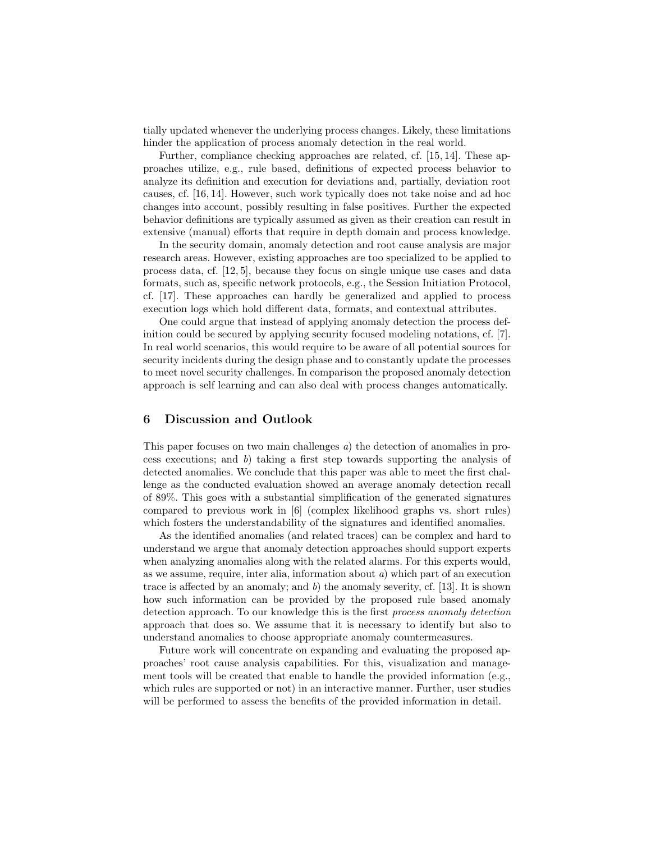tially updated whenever the underlying process changes. Likely, these limitations hinder the application of process anomaly detection in the real world.

Further, compliance checking approaches are related, cf. [15, 14]. These approaches utilize, e.g., rule based, definitions of expected process behavior to analyze its definition and execution for deviations and, partially, deviation root causes, cf. [16, 14]. However, such work typically does not take noise and ad hoc changes into account, possibly resulting in false positives. Further the expected behavior definitions are typically assumed as given as their creation can result in extensive (manual) efforts that require in depth domain and process knowledge.

In the security domain, anomaly detection and root cause analysis are major research areas. However, existing approaches are too specialized to be applied to process data, cf. [12, 5], because they focus on single unique use cases and data formats, such as, specific network protocols, e.g., the Session Initiation Protocol, cf. [17]. These approaches can hardly be generalized and applied to process execution logs which hold different data, formats, and contextual attributes.

One could argue that instead of applying anomaly detection the process definition could be secured by applying security focused modeling notations, cf. [7]. In real world scenarios, this would require to be aware of all potential sources for security incidents during the design phase and to constantly update the processes to meet novel security challenges. In comparison the proposed anomaly detection approach is self learning and can also deal with process changes automatically.

## 6 Discussion and Outlook

This paper focuses on two main challenges a) the detection of anomalies in process executions; and b) taking a first step towards supporting the analysis of detected anomalies. We conclude that this paper was able to meet the first challenge as the conducted evaluation showed an average anomaly detection recall of 89%. This goes with a substantial simplification of the generated signatures compared to previous work in [6] (complex likelihood graphs vs. short rules) which fosters the understandability of the signatures and identified anomalies.

As the identified anomalies (and related traces) can be complex and hard to understand we argue that anomaly detection approaches should support experts when analyzing anomalies along with the related alarms. For this experts would, as we assume, require, inter alia, information about a) which part of an execution trace is affected by an anomaly; and  $b$ ) the anomaly severity, cf. [13]. It is shown how such information can be provided by the proposed rule based anomaly detection approach. To our knowledge this is the first process anomaly detection approach that does so. We assume that it is necessary to identify but also to understand anomalies to choose appropriate anomaly countermeasures.

Future work will concentrate on expanding and evaluating the proposed approaches' root cause analysis capabilities. For this, visualization and management tools will be created that enable to handle the provided information (e.g., which rules are supported or not) in an interactive manner. Further, user studies will be performed to assess the benefits of the provided information in detail.